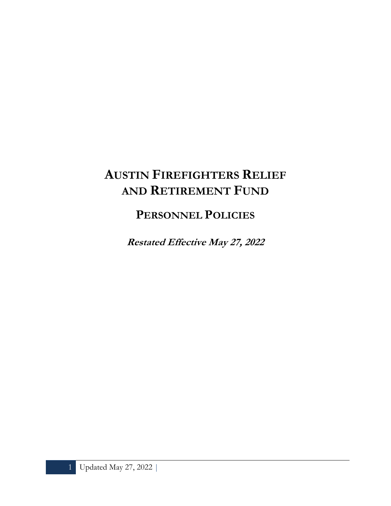# **AUSTIN FIREFIGHTERS RELIEF AND RETIREMENT FUND**

**PERSONNEL POLICIES**

**Restated Effective May 27, 2022**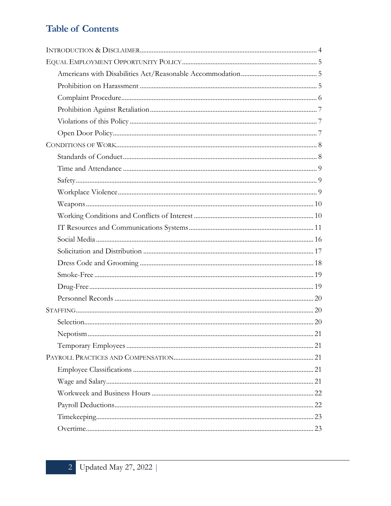# **Table of Contents**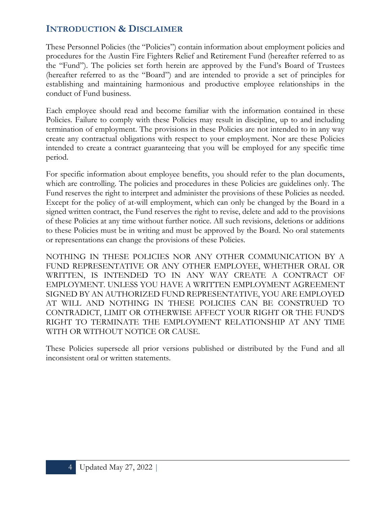# **INTRODUCTION & DISCLAIMER**

These Personnel Policies (the "Policies") contain information about employment policies and procedures for the Austin Fire Fighters Relief and Retirement Fund (hereafter referred to as the "Fund"). The policies set forth herein are approved by the Fund's Board of Trustees (hereafter referred to as the "Board") and are intended to provide a set of principles for establishing and maintaining harmonious and productive employee relationships in the conduct of Fund business.

Each employee should read and become familiar with the information contained in these Policies. Failure to comply with these Policies may result in discipline, up to and including termination of employment. The provisions in these Policies are not intended to in any way create any contractual obligations with respect to your employment. Nor are these Policies intended to create a contract guaranteeing that you will be employed for any specific time period.

For specific information about employee benefits, you should refer to the plan documents, which are controlling. The policies and procedures in these Policies are guidelines only. The Fund reserves the right to interpret and administer the provisions of these Policies as needed. Except for the policy of at-will employment, which can only be changed by the Board in a signed written contract, the Fund reserves the right to revise, delete and add to the provisions of these Policies at any time without further notice. All such revisions, deletions or additions to these Policies must be in writing and must be approved by the Board. No oral statements or representations can change the provisions of these Policies.

NOTHING IN THESE POLICIES NOR ANY OTHER COMMUNICATION BY A FUND REPRESENTATIVE OR ANY OTHER EMPLOYEE, WHETHER ORAL OR WRITTEN, IS INTENDED TO IN ANY WAY CREATE A CONTRACT OF EMPLOYMENT. UNLESS YOU HAVE A WRITTEN EMPLOYMENT AGREEMENT SIGNED BY AN AUTHORIZED FUND REPRESENTATIVE, YOU ARE EMPLOYED AT WILL AND NOTHING IN THESE POLICIES CAN BE CONSTRUED TO CONTRADICT, LIMIT OR OTHERWISE AFFECT YOUR RIGHT OR THE FUND'S RIGHT TO TERMINATE THE EMPLOYMENT RELATIONSHIP AT ANY TIME WITH OR WITHOUT NOTICE OR CAUSE.

These Policies supersede all prior versions published or distributed by the Fund and all inconsistent oral or written statements.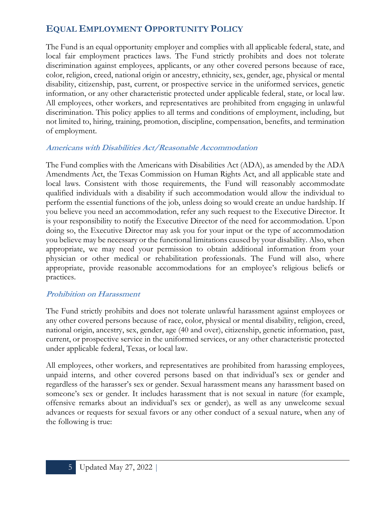# **EQUAL EMPLOYMENT OPPORTUNITY POLICY**

The Fund is an equal opportunity employer and complies with all applicable federal, state, and local fair employment practices laws. The Fund strictly prohibits and does not tolerate discrimination against employees, applicants, or any other covered persons because of race, color, religion, creed, national origin or ancestry, ethnicity, sex, gender, age, physical or mental disability, citizenship, past, current, or prospective service in the uniformed services, genetic information, or any other characteristic protected under applicable federal, state, or local law. All employees, other workers, and representatives are prohibited from engaging in unlawful discrimination. This policy applies to all terms and conditions of employment, including, but not limited to, hiring, training, promotion, discipline, compensation, benefits, and termination of employment.

#### **Americans with Disabilities Act/Reasonable Accommodation**

The Fund complies with the Americans with Disabilities Act (ADA), as amended by the ADA Amendments Act, the Texas Commission on Human Rights Act, and all applicable state and local laws. Consistent with those requirements, the Fund will reasonably accommodate qualified individuals with a disability if such accommodation would allow the individual to perform the essential functions of the job, unless doing so would create an undue hardship. If you believe you need an accommodation, refer any such request to the Executive Director. It is your responsibility to notify the Executive Director of the need for accommodation. Upon doing so, the Executive Director may ask you for your input or the type of accommodation you believe may be necessary or the functional limitations caused by your disability. Also, when appropriate, we may need your permission to obtain additional information from your physician or other medical or rehabilitation professionals. The Fund will also, where appropriate, provide reasonable accommodations for an employee's religious beliefs or practices.

#### **Prohibition on Harassment**

The Fund strictly prohibits and does not tolerate unlawful harassment against employees or any other covered persons because of race, color, physical or mental disability, religion, creed, national origin, ancestry, sex, gender, age (40 and over), citizenship, genetic information, past, current, or prospective service in the uniformed services, or any other characteristic protected under applicable federal, Texas, or local law.

All employees, other workers, and representatives are prohibited from harassing employees, unpaid interns, and other covered persons based on that individual's sex or gender and regardless of the harasser's sex or gender. Sexual harassment means any harassment based on someone's sex or gender. It includes harassment that is not sexual in nature (for example, offensive remarks about an individual's sex or gender), as well as any unwelcome sexual advances or requests for sexual favors or any other conduct of a sexual nature, when any of the following is true: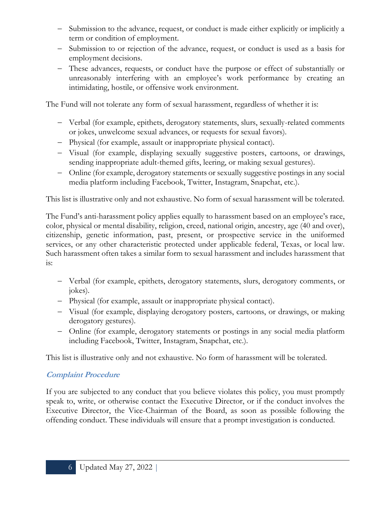- − Submission to the advance, request, or conduct is made either explicitly or implicitly a term or condition of employment.
- − Submission to or rejection of the advance, request, or conduct is used as a basis for employment decisions.
- − These advances, requests, or conduct have the purpose or effect of substantially or unreasonably interfering with an employee's work performance by creating an intimidating, hostile, or offensive work environment.

The Fund will not tolerate any form of sexual harassment, regardless of whether it is:

- − Verbal (for example, epithets, derogatory statements, slurs, sexually-related comments or jokes, unwelcome sexual advances, or requests for sexual favors).
- − Physical (for example, assault or inappropriate physical contact).
- − Visual (for example, displaying sexually suggestive posters, cartoons, or drawings, sending inappropriate adult-themed gifts, leering, or making sexual gestures).
- − Online (for example, derogatory statements or sexually suggestive postings in any social media platform including Facebook, Twitter, Instagram, Snapchat, etc.).

This list is illustrative only and not exhaustive. No form of sexual harassment will be tolerated.

The Fund's anti-harassment policy applies equally to harassment based on an employee's race, color, physical or mental disability, religion, creed, national origin, ancestry, age (40 and over), citizenship, genetic information, past, present, or prospective service in the uniformed services, or any other characteristic protected under applicable federal, Texas, or local law. Such harassment often takes a similar form to sexual harassment and includes harassment that is:

- − Verbal (for example, epithets, derogatory statements, slurs, derogatory comments, or jokes).
- − Physical (for example, assault or inappropriate physical contact).
- − Visual (for example, displaying derogatory posters, cartoons, or drawings, or making derogatory gestures).
- − Online (for example, derogatory statements or postings in any social media platform including Facebook, Twitter, Instagram, Snapchat, etc.).

This list is illustrative only and not exhaustive. No form of harassment will be tolerated.

# **Complaint Procedure**

If you are subjected to any conduct that you believe violates this policy, you must promptly speak to, write, or otherwise contact the Executive Director, or if the conduct involves the Executive Director, the Vice-Chairman of the Board, as soon as possible following the offending conduct. These individuals will ensure that a prompt investigation is conducted.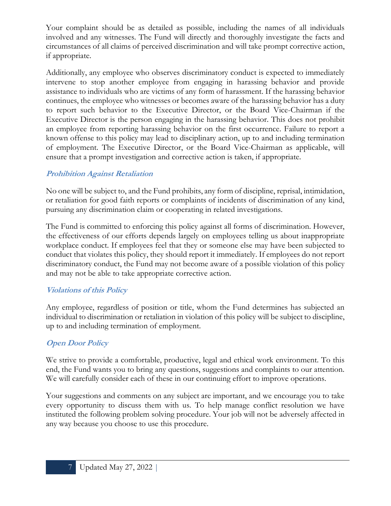Your complaint should be as detailed as possible, including the names of all individuals involved and any witnesses. The Fund will directly and thoroughly investigate the facts and circumstances of all claims of perceived discrimination and will take prompt corrective action, if appropriate.

Additionally, any employee who observes discriminatory conduct is expected to immediately intervene to stop another employee from engaging in harassing behavior and provide assistance to individuals who are victims of any form of harassment. If the harassing behavior continues, the employee who witnesses or becomes aware of the harassing behavior has a duty to report such behavior to the Executive Director, or the Board Vice-Chairman if the Executive Director is the person engaging in the harassing behavior. This does not prohibit an employee from reporting harassing behavior on the first occurrence. Failure to report a known offense to this policy may lead to disciplinary action, up to and including termination of employment. The Executive Director, or the Board Vice-Chairman as applicable, will ensure that a prompt investigation and corrective action is taken, if appropriate.

# **Prohibition Against Retaliation**

No one will be subject to, and the Fund prohibits, any form of discipline, reprisal, intimidation, or retaliation for good faith reports or complaints of incidents of discrimination of any kind, pursuing any discrimination claim or cooperating in related investigations.

The Fund is committed to enforcing this policy against all forms of discrimination. However, the effectiveness of our efforts depends largely on employees telling us about inappropriate workplace conduct. If employees feel that they or someone else may have been subjected to conduct that violates this policy, they should report it immediately. If employees do not report discriminatory conduct, the Fund may not become aware of a possible violation of this policy and may not be able to take appropriate corrective action.

#### **Violations of this Policy**

Any employee, regardless of position or title, whom the Fund determines has subjected an individual to discrimination or retaliation in violation of this policy will be subject to discipline, up to and including termination of employment.

#### **Open Door Policy**

We strive to provide a comfortable, productive, legal and ethical work environment. To this end, the Fund wants you to bring any questions, suggestions and complaints to our attention. We will carefully consider each of these in our continuing effort to improve operations.

Your suggestions and comments on any subject are important, and we encourage you to take every opportunity to discuss them with us. To help manage conflict resolution we have instituted the following problem solving procedure. Your job will not be adversely affected in any way because you choose to use this procedure.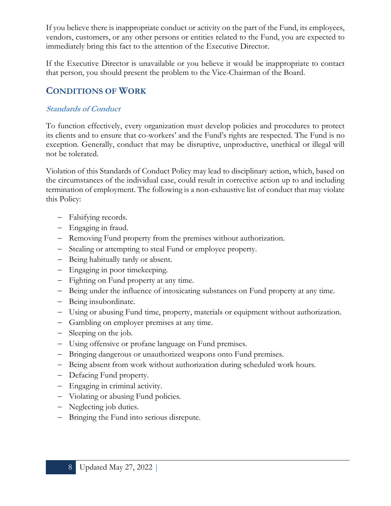If you believe there is inappropriate conduct or activity on the part of the Fund, its employees, vendors, customers, or any other persons or entities related to the Fund, you are expected to immediately bring this fact to the attention of the Executive Director.

If the Executive Director is unavailable or you believe it would be inappropriate to contact that person, you should present the problem to the Vice-Chairman of the Board.

# **CONDITIONS OF WORK**

#### **Standards of Conduct**

To function effectively, every organization must develop policies and procedures to protect its clients and to ensure that co-workers' and the Fund's rights are respected. The Fund is no exception. Generally, conduct that may be disruptive, unproductive, unethical or illegal will not be tolerated.

Violation of this Standards of Conduct Policy may lead to disciplinary action, which, based on the circumstances of the individual case, could result in corrective action up to and including termination of employment. The following is a non-exhaustive list of conduct that may violate this Policy:

- − Falsifying records.
- − Engaging in fraud.
- − Removing Fund property from the premises without authorization.
- − Stealing or attempting to steal Fund or employee property.
- − Being habitually tardy or absent.
- − Engaging in poor timekeeping.
- − Fighting on Fund property at any time.
- − Being under the influence of intoxicating substances on Fund property at any time.
- − Being insubordinate.
- − Using or abusing Fund time, property, materials or equipment without authorization.
- − Gambling on employer premises at any time.
- − Sleeping on the job.
- − Using offensive or profane language on Fund premises.
- − Bringing dangerous or unauthorized weapons onto Fund premises.
- − Being absent from work without authorization during scheduled work hours.
- − Defacing Fund property.
- − Engaging in criminal activity.
- − Violating or abusing Fund policies.
- − Neglecting job duties.
- − Bringing the Fund into serious disrepute.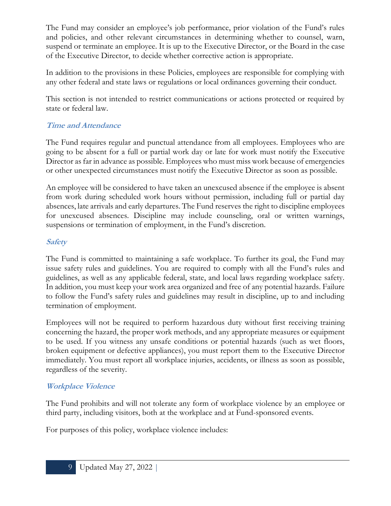The Fund may consider an employee's job performance, prior violation of the Fund's rules and policies, and other relevant circumstances in determining whether to counsel, warn, suspend or terminate an employee. It is up to the Executive Director, or the Board in the case of the Executive Director, to decide whether corrective action is appropriate.

In addition to the provisions in these Policies, employees are responsible for complying with any other federal and state laws or regulations or local ordinances governing their conduct.

This section is not intended to restrict communications or actions protected or required by state or federal law.

# **Time and Attendance**

The Fund requires regular and punctual attendance from all employees. Employees who are going to be absent for a full or partial work day or late for work must notify the Executive Director as far in advance as possible. Employees who must miss work because of emergencies or other unexpected circumstances must notify the Executive Director as soon as possible.

An employee will be considered to have taken an unexcused absence if the employee is absent from work during scheduled work hours without permission, including full or partial day absences, late arrivals and early departures. The Fund reserves the right to discipline employees for unexcused absences. Discipline may include counseling, oral or written warnings, suspensions or termination of employment, in the Fund's discretion.

# **Safety**

The Fund is committed to maintaining a safe workplace. To further its goal, the Fund may issue safety rules and guidelines. You are required to comply with all the Fund's rules and guidelines, as well as any applicable federal, state, and local laws regarding workplace safety. In addition, you must keep your work area organized and free of any potential hazards. Failure to follow the Fund's safety rules and guidelines may result in discipline, up to and including termination of employment.

Employees will not be required to perform hazardous duty without first receiving training concerning the hazard, the proper work methods, and any appropriate measures or equipment to be used. If you witness any unsafe conditions or potential hazards (such as wet floors, broken equipment or defective appliances), you must report them to the Executive Director immediately. You must report all workplace injuries, accidents, or illness as soon as possible, regardless of the severity.

# **Workplace Violence**

The Fund prohibits and will not tolerate any form of workplace violence by an employee or third party, including visitors, both at the workplace and at Fund-sponsored events.

For purposes of this policy, workplace violence includes: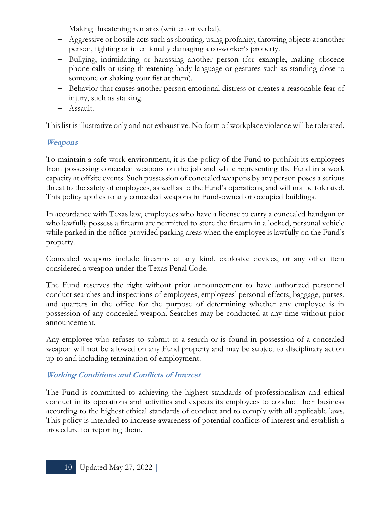- − Making threatening remarks (written or verbal).
- − Aggressive or hostile acts such as shouting, using profanity, throwing objects at another person, fighting or intentionally damaging a co-worker's property.
- − Bullying, intimidating or harassing another person (for example, making obscene phone calls or using threatening body language or gestures such as standing close to someone or shaking your fist at them).
- − Behavior that causes another person emotional distress or creates a reasonable fear of injury, such as stalking.
- − Assault.

This list is illustrative only and not exhaustive. No form of workplace violence will be tolerated.

# **Weapons**

To maintain a safe work environment, it is the policy of the Fund to prohibit its employees from possessing concealed weapons on the job and while representing the Fund in a work capacity at offsite events. Such possession of concealed weapons by any person poses a serious threat to the safety of employees, as well as to the Fund's operations, and will not be tolerated. This policy applies to any concealed weapons in Fund-owned or occupied buildings.

In accordance with Texas law, employees who have a license to carry a concealed handgun or who lawfully possess a firearm are permitted to store the firearm in a locked, personal vehicle while parked in the office-provided parking areas when the employee is lawfully on the Fund's property.

Concealed weapons include firearms of any kind, explosive devices, or any other item considered a weapon under the Texas Penal Code.

The Fund reserves the right without prior announcement to have authorized personnel conduct searches and inspections of employees, employees' personal effects, baggage, purses, and quarters in the office for the purpose of determining whether any employee is in possession of any concealed weapon. Searches may be conducted at any time without prior announcement.

Any employee who refuses to submit to a search or is found in possession of a concealed weapon will not be allowed on any Fund property and may be subject to disciplinary action up to and including termination of employment.

# **Working Conditions and Conflicts of Interest**

The Fund is committed to achieving the highest standards of professionalism and ethical conduct in its operations and activities and expects its employees to conduct their business according to the highest ethical standards of conduct and to comply with all applicable laws. This policy is intended to increase awareness of potential conflicts of interest and establish a procedure for reporting them.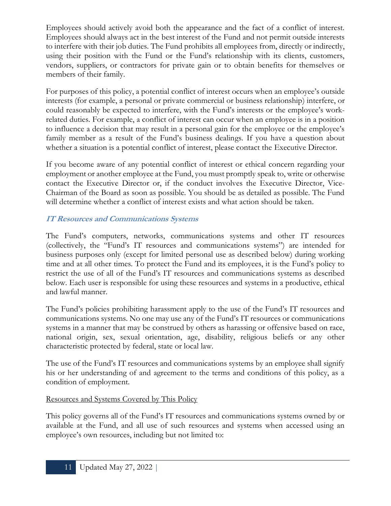Employees should actively avoid both the appearance and the fact of a conflict of interest. Employees should always act in the best interest of the Fund and not permit outside interests to interfere with their job duties. The Fund prohibits all employees from, directly or indirectly, using their position with the Fund or the Fund's relationship with its clients, customers, vendors, suppliers, or contractors for private gain or to obtain benefits for themselves or members of their family.

For purposes of this policy, a potential conflict of interest occurs when an employee's outside interests (for example, a personal or private commercial or business relationship) interfere, or could reasonably be expected to interfere, with the Fund's interests or the employee's workrelated duties. For example, a conflict of interest can occur when an employee is in a position to influence a decision that may result in a personal gain for the employee or the employee's family member as a result of the Fund's business dealings. If you have a question about whether a situation is a potential conflict of interest, please contact the Executive Director.

If you become aware of any potential conflict of interest or ethical concern regarding your employment or another employee at the Fund, you must promptly speak to, write or otherwise contact the Executive Director or, if the conduct involves the Executive Director, Vice-Chairman of the Board as soon as possible. You should be as detailed as possible. The Fund will determine whether a conflict of interest exists and what action should be taken.

# **IT Resources and Communications Systems**

The Fund's computers, networks, communications systems and other IT resources (collectively, the "Fund's IT resources and communications systems") are intended for business purposes only (except for limited personal use as described below) during working time and at all other times. To protect the Fund and its employees, it is the Fund's policy to restrict the use of all of the Fund's IT resources and communications systems as described below. Each user is responsible for using these resources and systems in a productive, ethical and lawful manner.

The Fund's policies prohibiting harassment apply to the use of the Fund's IT resources and communications systems. No one may use any of the Fund's IT resources or communications systems in a manner that may be construed by others as harassing or offensive based on race, national origin, sex, sexual orientation, age, disability, religious beliefs or any other characteristic protected by federal, state or local law.

The use of the Fund's IT resources and communications systems by an employee shall signify his or her understanding of and agreement to the terms and conditions of this policy, as a condition of employment.

#### Resources and Systems Covered by This Policy

This policy governs all of the Fund's IT resources and communications systems owned by or available at the Fund, and all use of such resources and systems when accessed using an employee's own resources, including but not limited to: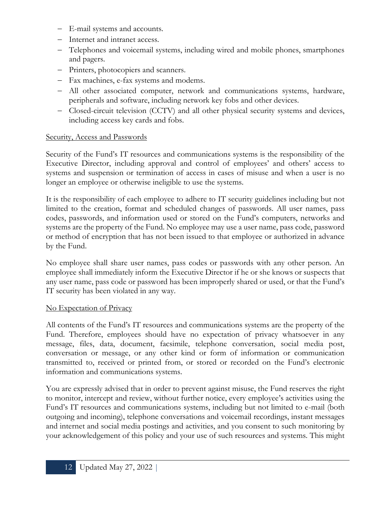- − E-mail systems and accounts.
- − Internet and intranet access.
- − Telephones and voicemail systems, including wired and mobile phones, smartphones and pagers.
- − Printers, photocopiers and scanners.
- − Fax machines, e-fax systems and modems.
- − All other associated computer, network and communications systems, hardware, peripherals and software, including network key fobs and other devices.
- − Closed-circuit television (CCTV) and all other physical security systems and devices, including access key cards and fobs.

# Security, Access and Passwords

Security of the Fund's IT resources and communications systems is the responsibility of the Executive Director, including approval and control of employees' and others' access to systems and suspension or termination of access in cases of misuse and when a user is no longer an employee or otherwise ineligible to use the systems.

It is the responsibility of each employee to adhere to IT security guidelines including but not limited to the creation, format and scheduled changes of passwords. All user names, pass codes, passwords, and information used or stored on the Fund's computers, networks and systems are the property of the Fund. No employee may use a user name, pass code, password or method of encryption that has not been issued to that employee or authorized in advance by the Fund.

No employee shall share user names, pass codes or passwords with any other person. An employee shall immediately inform the Executive Director if he or she knows or suspects that any user name, pass code or password has been improperly shared or used, or that the Fund's IT security has been violated in any way.

# No Expectation of Privacy

All contents of the Fund's IT resources and communications systems are the property of the Fund. Therefore, employees should have no expectation of privacy whatsoever in any message, files, data, document, facsimile, telephone conversation, social media post, conversation or message, or any other kind or form of information or communication transmitted to, received or printed from, or stored or recorded on the Fund's electronic information and communications systems.

You are expressly advised that in order to prevent against misuse, the Fund reserves the right to monitor, intercept and review, without further notice, every employee's activities using the Fund's IT resources and communications systems, including but not limited to e-mail (both outgoing and incoming), telephone conversations and voicemail recordings, instant messages and internet and social media postings and activities, and you consent to such monitoring by your acknowledgement of this policy and your use of such resources and systems. This might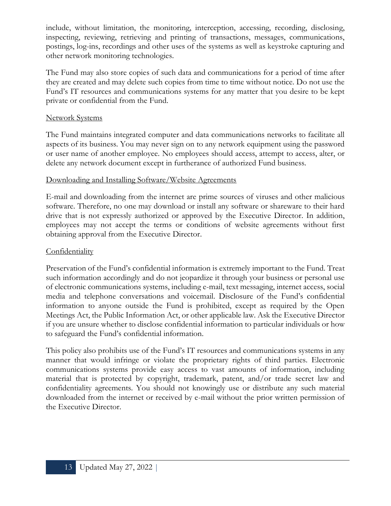include, without limitation, the monitoring, interception, accessing, recording, disclosing, inspecting, reviewing, retrieving and printing of transactions, messages, communications, postings, log-ins, recordings and other uses of the systems as well as keystroke capturing and other network monitoring technologies.

The Fund may also store copies of such data and communications for a period of time after they are created and may delete such copies from time to time without notice. Do not use the Fund's IT resources and communications systems for any matter that you desire to be kept private or confidential from the Fund.

#### Network Systems

The Fund maintains integrated computer and data communications networks to facilitate all aspects of its business. You may never sign on to any network equipment using the password or user name of another employee. No employees should access, attempt to access, alter, or delete any network document except in furtherance of authorized Fund business.

#### Downloading and Installing Software/Website Agreements

E-mail and downloading from the internet are prime sources of viruses and other malicious software. Therefore, no one may download or install any software or shareware to their hard drive that is not expressly authorized or approved by the Executive Director. In addition, employees may not accept the terms or conditions of website agreements without first obtaining approval from the Executive Director.

#### **Confidentiality**

Preservation of the Fund's confidential information is extremely important to the Fund. Treat such information accordingly and do not jeopardize it through your business or personal use of electronic communications systems, including e-mail, text messaging, internet access, social media and telephone conversations and voicemail. Disclosure of the Fund's confidential information to anyone outside the Fund is prohibited, except as required by the Open Meetings Act, the Public Information Act, or other applicable law. Ask the Executive Director if you are unsure whether to disclose confidential information to particular individuals or how to safeguard the Fund's confidential information.

This policy also prohibits use of the Fund's IT resources and communications systems in any manner that would infringe or violate the proprietary rights of third parties. Electronic communications systems provide easy access to vast amounts of information, including material that is protected by copyright, trademark, patent, and/or trade secret law and confidentiality agreements. You should not knowingly use or distribute any such material downloaded from the internet or received by e-mail without the prior written permission of the Executive Director.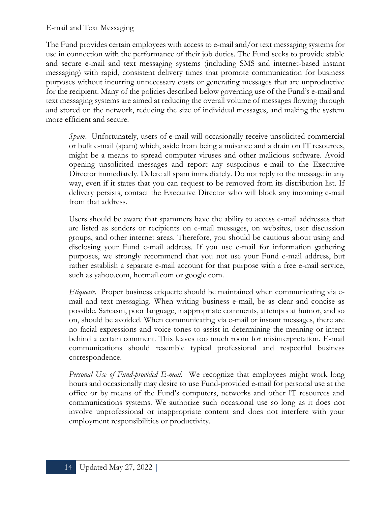#### E-mail and Text Messaging

The Fund provides certain employees with access to e-mail and/or text messaging systems for use in connection with the performance of their job duties. The Fund seeks to provide stable and secure e-mail and text messaging systems (including SMS and internet-based instant messaging) with rapid, consistent delivery times that promote communication for business purposes without incurring unnecessary costs or generating messages that are unproductive for the recipient. Many of the policies described below governing use of the Fund's e-mail and text messaging systems are aimed at reducing the overall volume of messages flowing through and stored on the network, reducing the size of individual messages, and making the system more efficient and secure.

*Spam*. Unfortunately, users of e-mail will occasionally receive unsolicited commercial or bulk e-mail (spam) which, aside from being a nuisance and a drain on IT resources, might be a means to spread computer viruses and other malicious software. Avoid opening unsolicited messages and report any suspicious e-mail to the Executive Director immediately. Delete all spam immediately. Do not reply to the message in any way, even if it states that you can request to be removed from its distribution list. If delivery persists, contact the Executive Director who will block any incoming e-mail from that address.

Users should be aware that spammers have the ability to access e-mail addresses that are listed as senders or recipients on e-mail messages, on websites, user discussion groups, and other internet areas. Therefore, you should be cautious about using and disclosing your Fund e-mail address. If you use e-mail for information gathering purposes, we strongly recommend that you not use your Fund e-mail address, but rather establish a separate e-mail account for that purpose with a free e-mail service, such as yahoo.com, hotmail.com or google.com.

*Etiquette*. Proper business etiquette should be maintained when communicating via email and text messaging. When writing business e-mail, be as clear and concise as possible. Sarcasm, poor language, inappropriate comments, attempts at humor, and so on, should be avoided. When communicating via e-mail or instant messages, there are no facial expressions and voice tones to assist in determining the meaning or intent behind a certain comment. This leaves too much room for misinterpretation. E-mail communications should resemble typical professional and respectful business correspondence.

*Personal Use of Fund-provided E-mail*. We recognize that employees might work long hours and occasionally may desire to use Fund-provided e-mail for personal use at the office or by means of the Fund's computers, networks and other IT resources and communications systems. We authorize such occasional use so long as it does not involve unprofessional or inappropriate content and does not interfere with your employment responsibilities or productivity.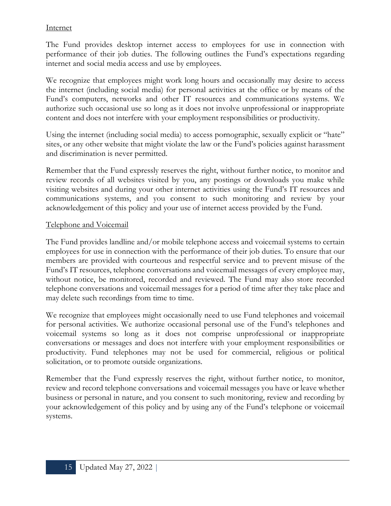#### **Internet**

The Fund provides desktop internet access to employees for use in connection with performance of their job duties. The following outlines the Fund's expectations regarding internet and social media access and use by employees.

We recognize that employees might work long hours and occasionally may desire to access the internet (including social media) for personal activities at the office or by means of the Fund's computers, networks and other IT resources and communications systems. We authorize such occasional use so long as it does not involve unprofessional or inappropriate content and does not interfere with your employment responsibilities or productivity.

Using the internet (including social media) to access pornographic, sexually explicit or "hate" sites, or any other website that might violate the law or the Fund's policies against harassment and discrimination is never permitted.

Remember that the Fund expressly reserves the right, without further notice, to monitor and review records of all websites visited by you, any postings or downloads you make while visiting websites and during your other internet activities using the Fund's IT resources and communications systems, and you consent to such monitoring and review by your acknowledgement of this policy and your use of internet access provided by the Fund.

#### Telephone and Voicemail

The Fund provides landline and/or mobile telephone access and voicemail systems to certain employees for use in connection with the performance of their job duties. To ensure that our members are provided with courteous and respectful service and to prevent misuse of the Fund's IT resources, telephone conversations and voicemail messages of every employee may, without notice, be monitored, recorded and reviewed. The Fund may also store recorded telephone conversations and voicemail messages for a period of time after they take place and may delete such recordings from time to time.

We recognize that employees might occasionally need to use Fund telephones and voicemail for personal activities. We authorize occasional personal use of the Fund's telephones and voicemail systems so long as it does not comprise unprofessional or inappropriate conversations or messages and does not interfere with your employment responsibilities or productivity. Fund telephones may not be used for commercial, religious or political solicitation, or to promote outside organizations.

Remember that the Fund expressly reserves the right, without further notice, to monitor, review and record telephone conversations and voicemail messages you have or leave whether business or personal in nature, and you consent to such monitoring, review and recording by your acknowledgement of this policy and by using any of the Fund's telephone or voicemail systems.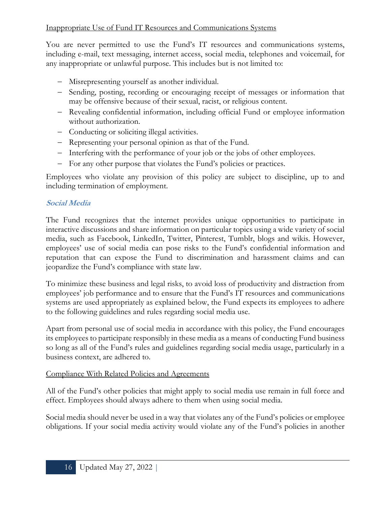# Inappropriate Use of Fund IT Resources and Communications Systems

You are never permitted to use the Fund's IT resources and communications systems, including e-mail, text messaging, internet access, social media, telephones and voicemail, for any inappropriate or unlawful purpose. This includes but is not limited to:

- − Misrepresenting yourself as another individual.
- − Sending, posting, recording or encouraging receipt of messages or information that may be offensive because of their sexual, racist, or religious content.
- − Revealing confidential information, including official Fund or employee information without authorization.
- − Conducting or soliciting illegal activities.
- − Representing your personal opinion as that of the Fund.
- − Interfering with the performance of your job or the jobs of other employees.
- − For any other purpose that violates the Fund's policies or practices.

Employees who violate any provision of this policy are subject to discipline, up to and including termination of employment.

# **Social Media**

The Fund recognizes that the internet provides unique opportunities to participate in interactive discussions and share information on particular topics using a wide variety of social media, such as Facebook, LinkedIn, Twitter, Pinterest, Tumblr, blogs and wikis. However, employees' use of social media can pose risks to the Fund's confidential information and reputation that can expose the Fund to discrimination and harassment claims and can jeopardize the Fund's compliance with state law.

To minimize these business and legal risks, to avoid loss of productivity and distraction from employees' job performance and to ensure that the Fund's IT resources and communications systems are used appropriately as explained below, the Fund expects its employees to adhere to the following guidelines and rules regarding social media use.

Apart from personal use of social media in accordance with this policy, the Fund encourages its employees to participate responsibly in these media as a means of conducting Fund business so long as all of the Fund's rules and guidelines regarding social media usage, particularly in a business context, are adhered to.

#### Compliance With Related Policies and Agreements

All of the Fund's other policies that might apply to social media use remain in full force and effect. Employees should always adhere to them when using social media.

Social media should never be used in a way that violates any of the Fund's policies or employee obligations. If your social media activity would violate any of the Fund's policies in another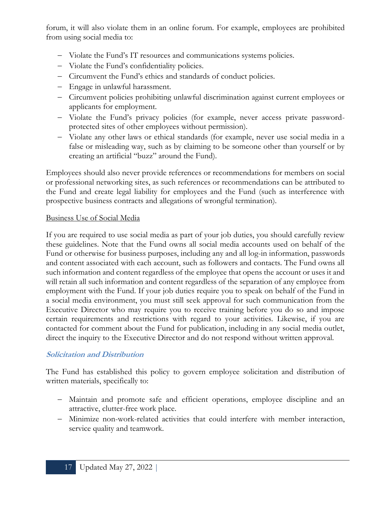forum, it will also violate them in an online forum. For example, employees are prohibited from using social media to:

- − Violate the Fund's IT resources and communications systems policies.
- − Violate the Fund's confidentiality policies.
- − Circumvent the Fund's ethics and standards of conduct policies.
- − Engage in unlawful harassment.
- − Circumvent policies prohibiting unlawful discrimination against current employees or applicants for employment.
- − Violate the Fund's privacy policies (for example, never access private passwordprotected sites of other employees without permission).
- − Violate any other laws or ethical standards (for example, never use social media in a false or misleading way, such as by claiming to be someone other than yourself or by creating an artificial "buzz" around the Fund).

Employees should also never provide references or recommendations for members on social or professional networking sites, as such references or recommendations can be attributed to the Fund and create legal liability for employees and the Fund (such as interference with prospective business contracts and allegations of wrongful termination).

#### Business Use of Social Media

If you are required to use social media as part of your job duties, you should carefully review these guidelines. Note that the Fund owns all social media accounts used on behalf of the Fund or otherwise for business purposes, including any and all log-in information, passwords and content associated with each account, such as followers and contacts. The Fund owns all such information and content regardless of the employee that opens the account or uses it and will retain all such information and content regardless of the separation of any employee from employment with the Fund. If your job duties require you to speak on behalf of the Fund in a social media environment, you must still seek approval for such communication from the Executive Director who may require you to receive training before you do so and impose certain requirements and restrictions with regard to your activities. Likewise, if you are contacted for comment about the Fund for publication, including in any social media outlet, direct the inquiry to the Executive Director and do not respond without written approval.

#### **Solicitation and Distribution**

The Fund has established this policy to govern employee solicitation and distribution of written materials, specifically to:

- − Maintain and promote safe and efficient operations, employee discipline and an attractive, clutter-free work place.
- − Minimize non-work-related activities that could interfere with member interaction, service quality and teamwork.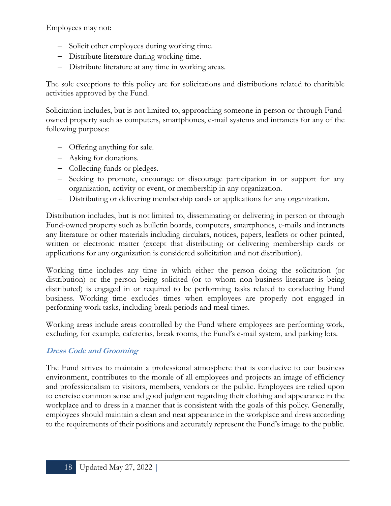Employees may not:

- − Solicit other employees during working time.
- − Distribute literature during working time.
- − Distribute literature at any time in working areas.

The sole exceptions to this policy are for solicitations and distributions related to charitable activities approved by the Fund.

Solicitation includes, but is not limited to, approaching someone in person or through Fundowned property such as computers, smartphones, e-mail systems and intranets for any of the following purposes:

- − Offering anything for sale.
- − Asking for donations.
- − Collecting funds or pledges.
- − Seeking to promote, encourage or discourage participation in or support for any organization, activity or event, or membership in any organization.
- − Distributing or delivering membership cards or applications for any organization.

Distribution includes, but is not limited to, disseminating or delivering in person or through Fund-owned property such as bulletin boards, computers, smartphones, e-mails and intranets any literature or other materials including circulars, notices, papers, leaflets or other printed, written or electronic matter (except that distributing or delivering membership cards or applications for any organization is considered solicitation and not distribution).

Working time includes any time in which either the person doing the solicitation (or distribution) or the person being solicited (or to whom non-business literature is being distributed) is engaged in or required to be performing tasks related to conducting Fund business. Working time excludes times when employees are properly not engaged in performing work tasks, including break periods and meal times.

Working areas include areas controlled by the Fund where employees are performing work, excluding, for example, cafeterias, break rooms, the Fund's e-mail system, and parking lots.

# **Dress Code and Grooming**

The Fund strives to maintain a professional atmosphere that is conducive to our business environment, contributes to the morale of all employees and projects an image of efficiency and professionalism to visitors, members, vendors or the public. Employees are relied upon to exercise common sense and good judgment regarding their clothing and appearance in the workplace and to dress in a manner that is consistent with the goals of this policy. Generally, employees should maintain a clean and neat appearance in the workplace and dress according to the requirements of their positions and accurately represent the Fund's image to the public.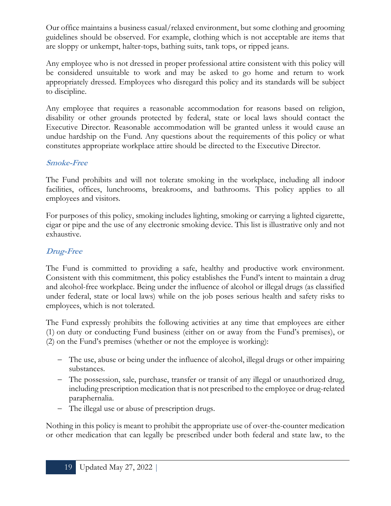Our office maintains a business casual/relaxed environment, but some clothing and grooming guidelines should be observed. For example, clothing which is not acceptable are items that are sloppy or unkempt, halter-tops, bathing suits, tank tops, or ripped jeans.

Any employee who is not dressed in proper professional attire consistent with this policy will be considered unsuitable to work and may be asked to go home and return to work appropriately dressed. Employees who disregard this policy and its standards will be subject to discipline.

Any employee that requires a reasonable accommodation for reasons based on religion, disability or other grounds protected by federal, state or local laws should contact the Executive Director. Reasonable accommodation will be granted unless it would cause an undue hardship on the Fund. Any questions about the requirements of this policy or what constitutes appropriate workplace attire should be directed to the Executive Director.

#### **Smoke-Free**

The Fund prohibits and will not tolerate smoking in the workplace, including all indoor facilities, offices, lunchrooms, breakrooms, and bathrooms. This policy applies to all employees and visitors.

For purposes of this policy, smoking includes lighting, smoking or carrying a lighted cigarette, cigar or pipe and the use of any electronic smoking device. This list is illustrative only and not exhaustive.

# **Drug-Free**

The Fund is committed to providing a safe, healthy and productive work environment. Consistent with this commitment, this policy establishes the Fund's intent to maintain a drug and alcohol-free workplace. Being under the influence of alcohol or illegal drugs (as classified under federal, state or local laws) while on the job poses serious health and safety risks to employees, which is not tolerated.

The Fund expressly prohibits the following activities at any time that employees are either (1) on duty or conducting Fund business (either on or away from the Fund's premises), or (2) on the Fund's premises (whether or not the employee is working):

- − The use, abuse or being under the influence of alcohol, illegal drugs or other impairing substances.
- − The possession, sale, purchase, transfer or transit of any illegal or unauthorized drug, including prescription medication that is not prescribed to the employee or drug-related paraphernalia.
- − The illegal use or abuse of prescription drugs.

Nothing in this policy is meant to prohibit the appropriate use of over-the-counter medication or other medication that can legally be prescribed under both federal and state law, to the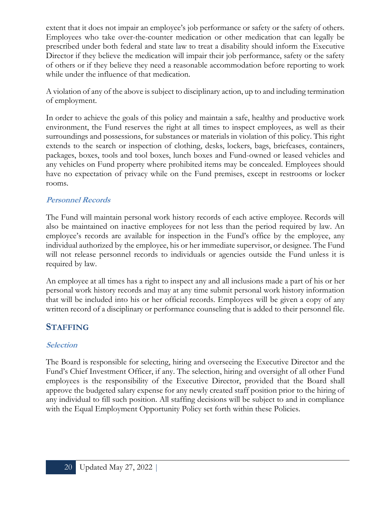extent that it does not impair an employee's job performance or safety or the safety of others. Employees who take over-the-counter medication or other medication that can legally be prescribed under both federal and state law to treat a disability should inform the Executive Director if they believe the medication will impair their job performance, safety or the safety of others or if they believe they need a reasonable accommodation before reporting to work while under the influence of that medication.

A violation of any of the above is subject to disciplinary action, up to and including termination of employment.

In order to achieve the goals of this policy and maintain a safe, healthy and productive work environment, the Fund reserves the right at all times to inspect employees, as well as their surroundings and possessions, for substances or materials in violation of this policy. This right extends to the search or inspection of clothing, desks, lockers, bags, briefcases, containers, packages, boxes, tools and tool boxes, lunch boxes and Fund-owned or leased vehicles and any vehicles on Fund property where prohibited items may be concealed. Employees should have no expectation of privacy while on the Fund premises, except in restrooms or locker rooms.

#### **Personnel Records**

The Fund will maintain personal work history records of each active employee. Records will also be maintained on inactive employees for not less than the period required by law. An employee's records are available for inspection in the Fund's office by the employee, any individual authorized by the employee, his or her immediate supervisor, or designee. The Fund will not release personnel records to individuals or agencies outside the Fund unless it is required by law.

An employee at all times has a right to inspect any and all inclusions made a part of his or her personal work history records and may at any time submit personal work history information that will be included into his or her official records. Employees will be given a copy of any written record of a disciplinary or performance counseling that is added to their personnel file.

#### **STAFFING**

#### **Selection**

The Board is responsible for selecting, hiring and overseeing the Executive Director and the Fund's Chief Investment Officer, if any. The selection, hiring and oversight of all other Fund employees is the responsibility of the Executive Director, provided that the Board shall approve the budgeted salary expense for any newly created staff position prior to the hiring of any individual to fill such position. All staffing decisions will be subject to and in compliance with the Equal Employment Opportunity Policy set forth within these Policies.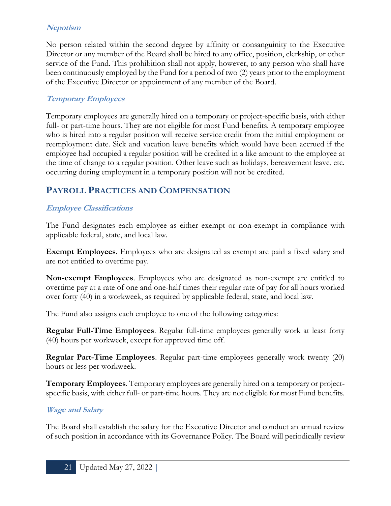# **Nepotism**

No person related within the second degree by affinity or consanguinity to the Executive Director or any member of the Board shall be hired to any office, position, clerkship, or other service of the Fund. This prohibition shall not apply, however, to any person who shall have been continuously employed by the Fund for a period of two (2) years prior to the employment of the Executive Director or appointment of any member of the Board.

#### **Temporary Employees**

Temporary employees are generally hired on a temporary or project-specific basis, with either full- or part-time hours. They are not eligible for most Fund benefits. A temporary employee who is hired into a regular position will receive service credit from the initial employment or reemployment date. Sick and vacation leave benefits which would have been accrued if the employee had occupied a regular position will be credited in a like amount to the employee at the time of change to a regular position. Other leave such as holidays, bereavement leave, etc. occurring during employment in a temporary position will not be credited.

# **PAYROLL PRACTICES AND COMPENSATION**

# **Employee Classifications**

The Fund designates each employee as either exempt or non-exempt in compliance with applicable federal, state, and local law.

**Exempt Employees**. Employees who are designated as exempt are paid a fixed salary and are not entitled to overtime pay.

**Non-exempt Employees**. Employees who are designated as non-exempt are entitled to overtime pay at a rate of one and one-half times their regular rate of pay for all hours worked over forty (40) in a workweek, as required by applicable federal, state, and local law.

The Fund also assigns each employee to one of the following categories:

**Regular Full-Time Employees**. Regular full-time employees generally work at least forty (40) hours per workweek, except for approved time off.

**Regular Part-Time Employees**. Regular part-time employees generally work twenty (20) hours or less per workweek.

**Temporary Employees**. Temporary employees are generally hired on a temporary or projectspecific basis, with either full- or part-time hours. They are not eligible for most Fund benefits.

#### **Wage and Salary**

The Board shall establish the salary for the Executive Director and conduct an annual review of such position in accordance with its Governance Policy. The Board will periodically review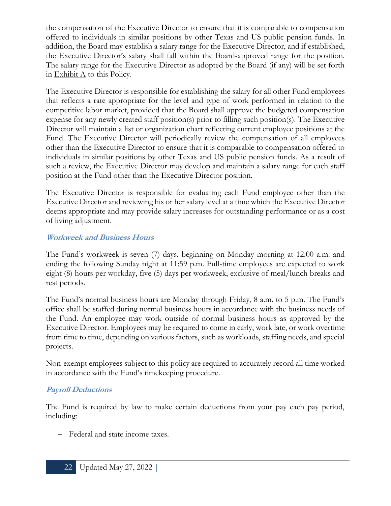the compensation of the Executive Director to ensure that it is comparable to compensation offered to individuals in similar positions by other Texas and US public pension funds. In addition, the Board may establish a salary range for the Executive Director, and if established, the Executive Director's salary shall fall within the Board-approved range for the position. The salary range for the Executive Director as adopted by the Board (if any) will be set forth in Exhibit  $\Lambda$  to this Policy.

The Executive Director is responsible for establishing the salary for all other Fund employees that reflects a rate appropriate for the level and type of work performed in relation to the competitive labor market, provided that the Board shall approve the budgeted compensation expense for any newly created staff position(s) prior to filling such position(s). The Executive Director will maintain a list or organization chart reflecting current employee positions at the Fund. The Executive Director will periodically review the compensation of all employees other than the Executive Director to ensure that it is comparable to compensation offered to individuals in similar positions by other Texas and US public pension funds. As a result of such a review, the Executive Director may develop and maintain a salary range for each staff position at the Fund other than the Executive Director position.

The Executive Director is responsible for evaluating each Fund employee other than the Executive Director and reviewing his or her salary level at a time which the Executive Director deems appropriate and may provide salary increases for outstanding performance or as a cost of living adjustment.

#### **Workweek and Business Hours**

The Fund's workweek is seven (7) days, beginning on Monday morning at 12:00 a.m. and ending the following Sunday night at 11:59 p.m. Full-time employees are expected to work eight (8) hours per workday, five (5) days per workweek, exclusive of meal/lunch breaks and rest periods.

The Fund's normal business hours are Monday through Friday, 8 a.m. to 5 p.m. The Fund's office shall be staffed during normal business hours in accordance with the business needs of the Fund. An employee may work outside of normal business hours as approved by the Executive Director. Employees may be required to come in early, work late, or work overtime from time to time, depending on various factors, such as workloads, staffing needs, and special projects.

Non-exempt employees subject to this policy are required to accurately record all time worked in accordance with the Fund's timekeeping procedure.

#### **Payroll Deductions**

The Fund is required by law to make certain deductions from your pay each pay period, including:

− Federal and state income taxes.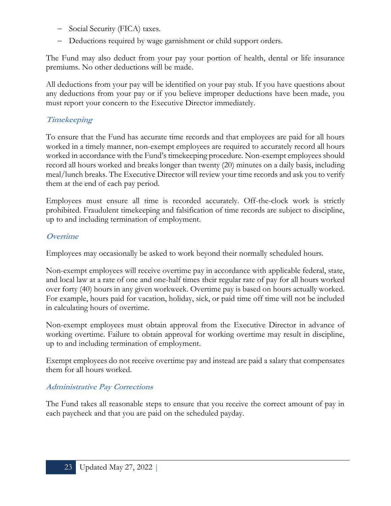- − Social Security (FICA) taxes.
- − Deductions required by wage garnishment or child support orders.

The Fund may also deduct from your pay your portion of health, dental or life insurance premiums. No other deductions will be made.

All deductions from your pay will be identified on your pay stub. If you have questions about any deductions from your pay or if you believe improper deductions have been made, you must report your concern to the Executive Director immediately.

# **Timekeeping**

To ensure that the Fund has accurate time records and that employees are paid for all hours worked in a timely manner, non-exempt employees are required to accurately record all hours worked in accordance with the Fund's timekeeping procedure. Non-exempt employees should record all hours worked and breaks longer than twenty (20) minutes on a daily basis, including meal/lunch breaks. The Executive Director will review your time records and ask you to verify them at the end of each pay period.

Employees must ensure all time is recorded accurately. Off-the-clock work is strictly prohibited. Fraudulent timekeeping and falsification of time records are subject to discipline, up to and including termination of employment.

# **Overtime**

Employees may occasionally be asked to work beyond their normally scheduled hours.

Non-exempt employees will receive overtime pay in accordance with applicable federal, state, and local law at a rate of one and one-half times their regular rate of pay for all hours worked over forty (40) hours in any given workweek. Overtime pay is based on hours actually worked. For example, hours paid for vacation, holiday, sick, or paid time off time will not be included in calculating hours of overtime.

Non-exempt employees must obtain approval from the Executive Director in advance of working overtime. Failure to obtain approval for working overtime may result in discipline, up to and including termination of employment.

Exempt employees do not receive overtime pay and instead are paid a salary that compensates them for all hours worked.

# **Administrative Pay Corrections**

The Fund takes all reasonable steps to ensure that you receive the correct amount of pay in each paycheck and that you are paid on the scheduled payday.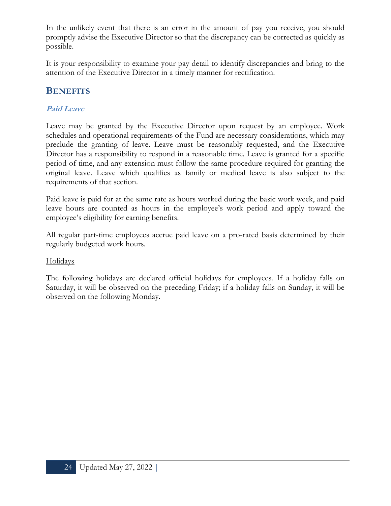In the unlikely event that there is an error in the amount of pay you receive, you should promptly advise the Executive Director so that the discrepancy can be corrected as quickly as possible.

It is your responsibility to examine your pay detail to identify discrepancies and bring to the attention of the Executive Director in a timely manner for rectification.

# **BENEFITS**

# **Paid Leave**

Leave may be granted by the Executive Director upon request by an employee. Work schedules and operational requirements of the Fund are necessary considerations, which may preclude the granting of leave. Leave must be reasonably requested, and the Executive Director has a responsibility to respond in a reasonable time. Leave is granted for a specific period of time, and any extension must follow the same procedure required for granting the original leave. Leave which qualifies as family or medical leave is also subject to the requirements of that section.

Paid leave is paid for at the same rate as hours worked during the basic work week, and paid leave hours are counted as hours in the employee's work period and apply toward the employee's eligibility for earning benefits.

All regular part-time employees accrue paid leave on a pro-rated basis determined by their regularly budgeted work hours.

#### Holidays

The following holidays are declared official holidays for employees. If a holiday falls on Saturday, it will be observed on the preceding Friday; if a holiday falls on Sunday, it will be observed on the following Monday.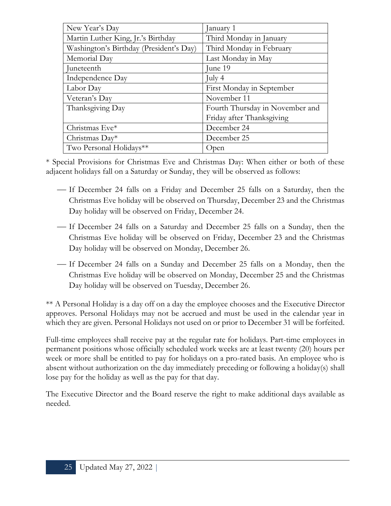| New Year's Day                          | anuary 1                        |  |
|-----------------------------------------|---------------------------------|--|
| Martin Luther King, Jr.'s Birthday      | Third Monday in January         |  |
| Washington's Birthday (President's Day) | Third Monday in February        |  |
| Memorial Day                            | Last Monday in May              |  |
| Juneteenth                              | June 19                         |  |
| Independence Day                        | July $4$                        |  |
| Labor Day                               | First Monday in September       |  |
| Veteran's Day                           | November 11                     |  |
| Thanksgiving Day                        | Fourth Thursday in November and |  |
|                                         | Friday after Thanksgiving       |  |
| Christmas Eve*                          | December 24                     |  |
| Christmas $Day*$                        | December 25                     |  |
| Two Personal Holidays**                 | Open                            |  |

\* Special Provisions for Christmas Eve and Christmas Day: When either or both of these adjacent holidays fall on a Saturday or Sunday, they will be observed as follows:

- ⎯ If December 24 falls on a Friday and December 25 falls on a Saturday, then the Christmas Eve holiday will be observed on Thursday, December 23 and the Christmas Day holiday will be observed on Friday, December 24.
- ⎯ If December 24 falls on a Saturday and December 25 falls on a Sunday, then the Christmas Eve holiday will be observed on Friday, December 23 and the Christmas Day holiday will be observed on Monday, December 26.
- ⎯ If December 24 falls on a Sunday and December 25 falls on a Monday, then the Christmas Eve holiday will be observed on Monday, December 25 and the Christmas Day holiday will be observed on Tuesday, December 26.

\*\* A Personal Holiday is a day off on a day the employee chooses and the Executive Director approves. Personal Holidays may not be accrued and must be used in the calendar year in which they are given. Personal Holidays not used on or prior to December 31 will be forfeited.

Full-time employees shall receive pay at the regular rate for holidays. Part-time employees in permanent positions whose officially scheduled work weeks are at least twenty (20) hours per week or more shall be entitled to pay for holidays on a pro-rated basis. An employee who is absent without authorization on the day immediately preceding or following a holiday(s) shall lose pay for the holiday as well as the pay for that day.

The Executive Director and the Board reserve the right to make additional days available as needed.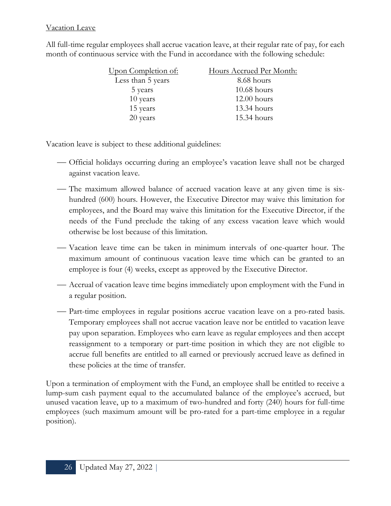#### Vacation Leave

All full-time regular employees shall accrue vacation leave, at their regular rate of pay, for each month of continuous service with the Fund in accordance with the following schedule:

| <u>Upon Completion of:</u><br>Hours Accrued Per Month: |               |
|--------------------------------------------------------|---------------|
| Less than 5 years                                      | 8.68 hours    |
| 5 years                                                | $10.68$ hours |
| 10 years                                               | $12.00$ hours |
| 15 years                                               | 13.34 hours   |
| 20 years                                               | 15.34 hours   |

Vacation leave is subject to these additional guidelines:

- ⎯ Official holidays occurring during an employee's vacation leave shall not be charged against vacation leave.
- The maximum allowed balance of accrued vacation leave at any given time is sixhundred (600) hours. However, the Executive Director may waive this limitation for employees, and the Board may waive this limitation for the Executive Director, if the needs of the Fund preclude the taking of any excess vacation leave which would otherwise be lost because of this limitation.
- ⎯ Vacation leave time can be taken in minimum intervals of one-quarter hour. The maximum amount of continuous vacation leave time which can be granted to an employee is four (4) weeks, except as approved by the Executive Director.
- Accrual of vacation leave time begins immediately upon employment with the Fund in a regular position.
- Part-time employees in regular positions accrue vacation leave on a pro-rated basis. Temporary employees shall not accrue vacation leave nor be entitled to vacation leave pay upon separation. Employees who earn leave as regular employees and then accept reassignment to a temporary or part-time position in which they are not eligible to accrue full benefits are entitled to all earned or previously accrued leave as defined in these policies at the time of transfer.

Upon a termination of employment with the Fund, an employee shall be entitled to receive a lump-sum cash payment equal to the accumulated balance of the employee's accrued, but unused vacation leave, up to a maximum of two-hundred and forty (240) hours for full-time employees (such maximum amount will be pro-rated for a part-time employee in a regular position).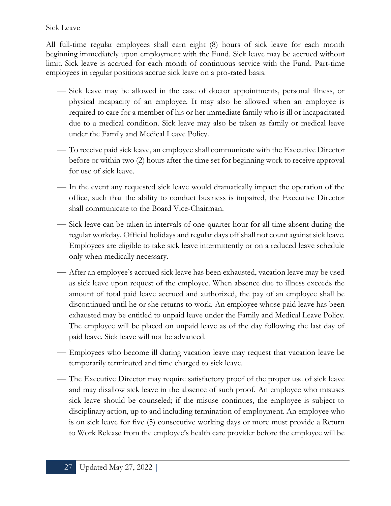#### **Sick Leave**

All full-time regular employees shall earn eight (8) hours of sick leave for each month beginning immediately upon employment with the Fund. Sick leave may be accrued without limit. Sick leave is accrued for each month of continuous service with the Fund. Part-time employees in regular positions accrue sick leave on a pro-rated basis.

- ⎯ Sick leave may be allowed in the case of doctor appointments, personal illness, or physical incapacity of an employee. It may also be allowed when an employee is required to care for a member of his or her immediate family who is ill or incapacitated due to a medical condition. Sick leave may also be taken as family or medical leave under the Family and Medical Leave Policy.
- To receive paid sick leave, an employee shall communicate with the Executive Director before or within two (2) hours after the time set for beginning work to receive approval for use of sick leave.
- In the event any requested sick leave would dramatically impact the operation of the office, such that the ability to conduct business is impaired, the Executive Director shall communicate to the Board Vice-Chairman.
- Sick leave can be taken in intervals of one-quarter hour for all time absent during the regular workday. Official holidays and regular days off shall not count against sick leave. Employees are eligible to take sick leave intermittently or on a reduced leave schedule only when medically necessary.
- After an employee's accrued sick leave has been exhausted, vacation leave may be used as sick leave upon request of the employee. When absence due to illness exceeds the amount of total paid leave accrued and authorized, the pay of an employee shall be discontinued until he or she returns to work. An employee whose paid leave has been exhausted may be entitled to unpaid leave under the Family and Medical Leave Policy. The employee will be placed on unpaid leave as of the day following the last day of paid leave. Sick leave will not be advanced.
- Employees who become ill during vacation leave may request that vacation leave be temporarily terminated and time charged to sick leave.
- The Executive Director may require satisfactory proof of the proper use of sick leave and may disallow sick leave in the absence of such proof. An employee who misuses sick leave should be counseled; if the misuse continues, the employee is subject to disciplinary action, up to and including termination of employment. An employee who is on sick leave for five (5) consecutive working days or more must provide a Return to Work Release from the employee's health care provider before the employee will be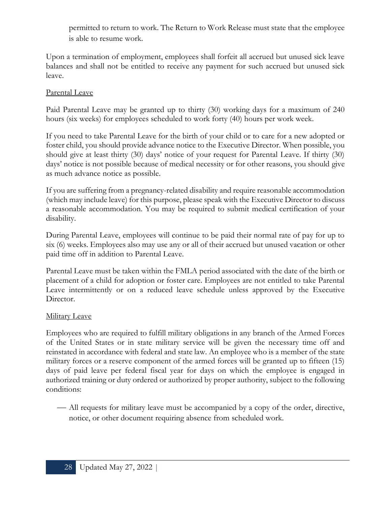permitted to return to work. The Return to Work Release must state that the employee is able to resume work.

Upon a termination of employment, employees shall forfeit all accrued but unused sick leave balances and shall not be entitled to receive any payment for such accrued but unused sick leave.

#### Parental Leave

Paid Parental Leave may be granted up to thirty (30) working days for a maximum of 240 hours (six weeks) for employees scheduled to work forty (40) hours per work week.

If you need to take Parental Leave for the birth of your child or to care for a new adopted or foster child, you should provide advance notice to the Executive Director. When possible, you should give at least thirty (30) days' notice of your request for Parental Leave. If thirty (30) days' notice is not possible because of medical necessity or for other reasons, you should give as much advance notice as possible.

If you are suffering from a pregnancy-related disability and require reasonable accommodation (which may include leave) for this purpose, please speak with the Executive Director to discuss a reasonable accommodation. You may be required to submit medical certification of your disability.

During Parental Leave, employees will continue to be paid their normal rate of pay for up to six (6) weeks. Employees also may use any or all of their accrued but unused vacation or other paid time off in addition to Parental Leave.

Parental Leave must be taken within the FMLA period associated with the date of the birth or placement of a child for adoption or foster care. Employees are not entitled to take Parental Leave intermittently or on a reduced leave schedule unless approved by the Executive Director.

#### Military Leave

Employees who are required to fulfill military obligations in any branch of the Armed Forces of the United States or in state military service will be given the necessary time off and reinstated in accordance with federal and state law. An employee who is a member of the state military forces or a reserve component of the armed forces will be granted up to fifteen (15) days of paid leave per federal fiscal year for days on which the employee is engaged in authorized training or duty ordered or authorized by proper authority, subject to the following conditions:

— All requests for military leave must be accompanied by a copy of the order, directive, notice, or other document requiring absence from scheduled work.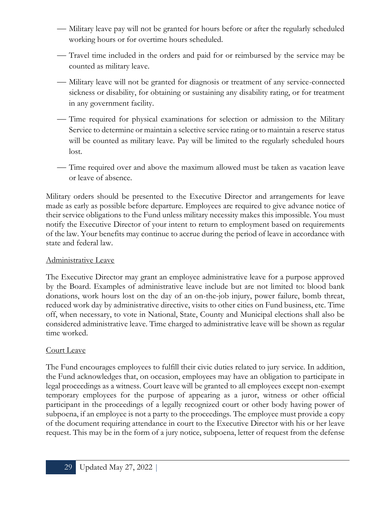- Military leave pay will not be granted for hours before or after the regularly scheduled working hours or for overtime hours scheduled.
- ⎯ Travel time included in the orders and paid for or reimbursed by the service may be counted as military leave.
- Military leave will not be granted for diagnosis or treatment of any service-connected sickness or disability, for obtaining or sustaining any disability rating, or for treatment in any government facility.
- ⎯ Time required for physical examinations for selection or admission to the Military Service to determine or maintain a selective service rating or to maintain a reserve status will be counted as military leave. Pay will be limited to the regularly scheduled hours lost.
- Time required over and above the maximum allowed must be taken as vacation leave or leave of absence.

Military orders should be presented to the Executive Director and arrangements for leave made as early as possible before departure. Employees are required to give advance notice of their service obligations to the Fund unless military necessity makes this impossible. You must notify the Executive Director of your intent to return to employment based on requirements of the law. Your benefits may continue to accrue during the period of leave in accordance with state and federal law.

#### Administrative Leave

The Executive Director may grant an employee administrative leave for a purpose approved by the Board. Examples of administrative leave include but are not limited to: blood bank donations, work hours lost on the day of an on-the-job injury, power failure, bomb threat, reduced work day by administrative directive, visits to other cities on Fund business, etc. Time off, when necessary, to vote in National, State, County and Municipal elections shall also be considered administrative leave. Time charged to administrative leave will be shown as regular time worked.

#### Court Leave

The Fund encourages employees to fulfill their civic duties related to jury service. In addition, the Fund acknowledges that, on occasion, employees may have an obligation to participate in legal proceedings as a witness. Court leave will be granted to all employees except non-exempt temporary employees for the purpose of appearing as a juror, witness or other official participant in the proceedings of a legally recognized court or other body having power of subpoena, if an employee is not a party to the proceedings. The employee must provide a copy of the document requiring attendance in court to the Executive Director with his or her leave request. This may be in the form of a jury notice, subpoena, letter of request from the defense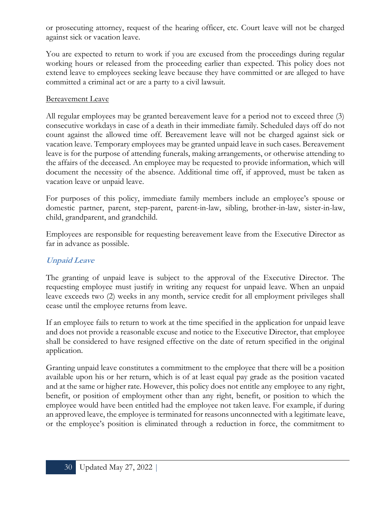or prosecuting attorney, request of the hearing officer, etc. Court leave will not be charged against sick or vacation leave.

You are expected to return to work if you are excused from the proceedings during regular working hours or released from the proceeding earlier than expected. This policy does not extend leave to employees seeking leave because they have committed or are alleged to have committed a criminal act or are a party to a civil lawsuit.

#### Bereavement Leave

All regular employees may be granted bereavement leave for a period not to exceed three (3) consecutive workdays in case of a death in their immediate family. Scheduled days off do not count against the allowed time off. Bereavement leave will not be charged against sick or vacation leave. Temporary employees may be granted unpaid leave in such cases. Bereavement leave is for the purpose of attending funerals, making arrangements, or otherwise attending to the affairs of the deceased. An employee may be requested to provide information, which will document the necessity of the absence. Additional time off, if approved, must be taken as vacation leave or unpaid leave.

For purposes of this policy, immediate family members include an employee's spouse or domestic partner, parent, step-parent, parent-in-law, sibling, brother-in-law, sister-in-law, child, grandparent, and grandchild.

Employees are responsible for requesting bereavement leave from the Executive Director as far in advance as possible.

#### **Unpaid Leave**

The granting of unpaid leave is subject to the approval of the Executive Director. The requesting employee must justify in writing any request for unpaid leave. When an unpaid leave exceeds two (2) weeks in any month, service credit for all employment privileges shall cease until the employee returns from leave.

If an employee fails to return to work at the time specified in the application for unpaid leave and does not provide a reasonable excuse and notice to the Executive Director, that employee shall be considered to have resigned effective on the date of return specified in the original application.

Granting unpaid leave constitutes a commitment to the employee that there will be a position available upon his or her return, which is of at least equal pay grade as the position vacated and at the same or higher rate. However, this policy does not entitle any employee to any right, benefit, or position of employment other than any right, benefit, or position to which the employee would have been entitled had the employee not taken leave. For example, if during an approved leave, the employee is terminated for reasons unconnected with a legitimate leave, or the employee's position is eliminated through a reduction in force, the commitment to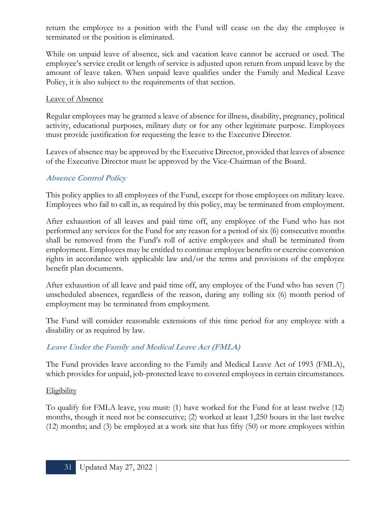return the employee to a position with the Fund will cease on the day the employee is terminated or the position is eliminated.

While on unpaid leave of absence, sick and vacation leave cannot be accrued or used. The employee's service credit or length of service is adjusted upon return from unpaid leave by the amount of leave taken. When unpaid leave qualifies under the Family and Medical Leave Policy, it is also subject to the requirements of that section.

#### Leave of Absence

Regular employees may be granted a leave of absence for illness, disability, pregnancy, political activity, educational purposes, military duty or for any other legitimate purpose. Employees must provide justification for requesting the leave to the Executive Director.

Leaves of absence may be approved by the Executive Director, provided that leaves of absence of the Executive Director must be approved by the Vice-Chairman of the Board.

#### **Absence Control Policy**

This policy applies to all employees of the Fund, except for those employees on military leave. Employees who fail to call in, as required by this policy, may be terminated from employment.

After exhaustion of all leaves and paid time off, any employee of the Fund who has not performed any services for the Fund for any reason for a period of six (6) consecutive months shall be removed from the Fund's roll of active employees and shall be terminated from employment. Employees may be entitled to continue employee benefits or exercise conversion rights in accordance with applicable law and/or the terms and provisions of the employee benefit plan documents.

After exhaustion of all leave and paid time off, any employee of the Fund who has seven (7) unscheduled absences, regardless of the reason, during any rolling six (6) month period of employment may be terminated from employment.

The Fund will consider reasonable extensions of this time period for any employee with a disability or as required by law.

# **Leave Under the Family and Medical Leave Act (FMLA)**

The Fund provides leave according to the Family and Medical Leave Act of 1993 (FMLA), which provides for unpaid, job-protected leave to covered employees in certain circumstances.

#### **Eligibility**

To qualify for FMLA leave, you must: (1) have worked for the Fund for at least twelve (12) months, though it need not be consecutive; (2) worked at least 1,250 hours in the last twelve (12) months; and (3) be employed at a work site that has fifty (50) or more employees within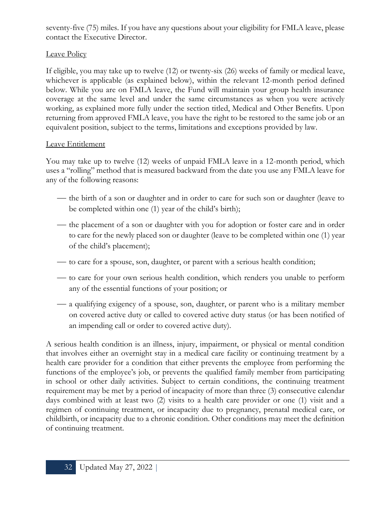seventy-five (75) miles. If you have any questions about your eligibility for FMLA leave, please contact the Executive Director.

# Leave Policy

If eligible, you may take up to twelve (12) or twenty-six (26) weeks of family or medical leave, whichever is applicable (as explained below), within the relevant 12-month period defined below. While you are on FMLA leave, the Fund will maintain your group health insurance coverage at the same level and under the same circumstances as when you were actively working, as explained more fully under the section titled, Medical and Other Benefits. Upon returning from approved FMLA leave, you have the right to be restored to the same job or an equivalent position, subject to the terms, limitations and exceptions provided by law.

# Leave Entitlement

You may take up to twelve (12) weeks of unpaid FMLA leave in a 12-month period, which uses a "rolling" method that is measured backward from the date you use any FMLA leave for any of the following reasons:

- the birth of a son or daughter and in order to care for such son or daughter (leave to be completed within one (1) year of the child's birth);
- the placement of a son or daughter with you for adoption or foster care and in order to care for the newly placed son or daughter (leave to be completed within one (1) year of the child's placement);
- to care for a spouse, son, daughter, or parent with a serious health condition;
- ⎯ to care for your own serious health condition, which renders you unable to perform any of the essential functions of your position; or
- a qualifying exigency of a spouse, son, daughter, or parent who is a military member on covered active duty or called to covered active duty status (or has been notified of an impending call or order to covered active duty).

A serious health condition is an illness, injury, impairment, or physical or mental condition that involves either an overnight stay in a medical care facility or continuing treatment by a health care provider for a condition that either prevents the employee from performing the functions of the employee's job, or prevents the qualified family member from participating in school or other daily activities. Subject to certain conditions, the continuing treatment requirement may be met by a period of incapacity of more than three (3) consecutive calendar days combined with at least two (2) visits to a health care provider or one (1) visit and a regimen of continuing treatment, or incapacity due to pregnancy, prenatal medical care, or childbirth, or incapacity due to a chronic condition. Other conditions may meet the definition of continuing treatment.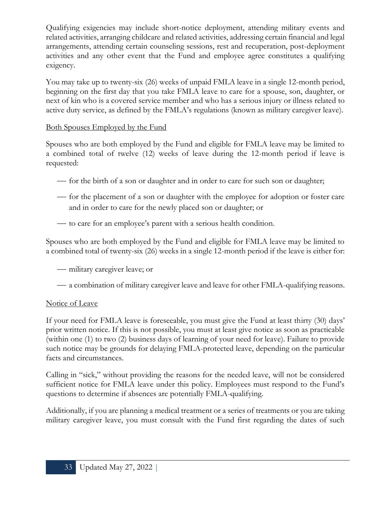Qualifying exigencies may include short-notice deployment, attending military events and related activities, arranging childcare and related activities, addressing certain financial and legal arrangements, attending certain counseling sessions, rest and recuperation, post-deployment activities and any other event that the Fund and employee agree constitutes a qualifying exigency.

You may take up to twenty-six (26) weeks of unpaid FMLA leave in a single 12-month period, beginning on the first day that you take FMLA leave to care for a spouse, son, daughter, or next of kin who is a covered service member and who has a serious injury or illness related to active duty service, as defined by the FMLA's regulations (known as military caregiver leave).

#### Both Spouses Employed by the Fund

Spouses who are both employed by the Fund and eligible for FMLA leave may be limited to a combined total of twelve (12) weeks of leave during the 12-month period if leave is requested:

- for the birth of a son or daughter and in order to care for such son or daughter;
- for the placement of a son or daughter with the employee for adoption or foster care and in order to care for the newly placed son or daughter; or
- to care for an employee's parent with a serious health condition.

Spouses who are both employed by the Fund and eligible for FMLA leave may be limited to a combined total of twenty-six (26) weeks in a single 12-month period if the leave is either for:

— military caregiver leave; or

— a combination of military caregiver leave and leave for other FMLA-qualifying reasons.

# Notice of Leave

If your need for FMLA leave is foreseeable, you must give the Fund at least thirty (30) days' prior written notice. If this is not possible, you must at least give notice as soon as practicable (within one (1) to two (2) business days of learning of your need for leave). Failure to provide such notice may be grounds for delaying FMLA-protected leave, depending on the particular facts and circumstances.

Calling in "sick," without providing the reasons for the needed leave, will not be considered sufficient notice for FMLA leave under this policy. Employees must respond to the Fund's questions to determine if absences are potentially FMLA-qualifying.

Additionally, if you are planning a medical treatment or a series of treatments or you are taking military caregiver leave, you must consult with the Fund first regarding the dates of such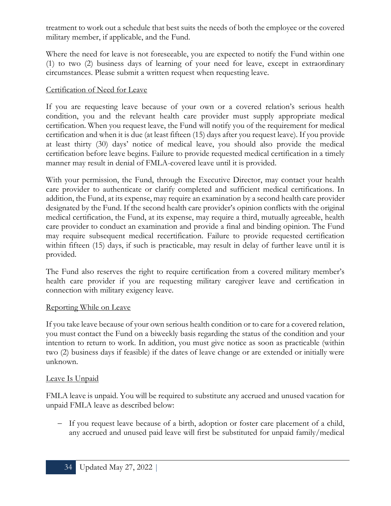treatment to work out a schedule that best suits the needs of both the employee or the covered military member, if applicable, and the Fund.

Where the need for leave is not foreseeable, you are expected to notify the Fund within one (1) to two (2) business days of learning of your need for leave, except in extraordinary circumstances. Please submit a written request when requesting leave.

#### Certification of Need for Leave

If you are requesting leave because of your own or a covered relation's serious health condition, you and the relevant health care provider must supply appropriate medical certification. When you request leave, the Fund will notify you of the requirement for medical certification and when it is due (at least fifteen (15) days after you request leave). If you provide at least thirty (30) days' notice of medical leave, you should also provide the medical certification before leave begins. Failure to provide requested medical certification in a timely manner may result in denial of FMLA-covered leave until it is provided.

With your permission, the Fund, through the Executive Director, may contact your health care provider to authenticate or clarify completed and sufficient medical certifications. In addition, the Fund, at its expense, may require an examination by a second health care provider designated by the Fund. If the second health care provider's opinion conflicts with the original medical certification, the Fund, at its expense, may require a third, mutually agreeable, health care provider to conduct an examination and provide a final and binding opinion. The Fund may require subsequent medical recertification. Failure to provide requested certification within fifteen (15) days, if such is practicable, may result in delay of further leave until it is provided.

The Fund also reserves the right to require certification from a covered military member's health care provider if you are requesting military caregiver leave and certification in connection with military exigency leave.

#### Reporting While on Leave

If you take leave because of your own serious health condition or to care for a covered relation, you must contact the Fund on a biweekly basis regarding the status of the condition and your intention to return to work. In addition, you must give notice as soon as practicable (within two (2) business days if feasible) if the dates of leave change or are extended or initially were unknown.

#### Leave Is Unpaid

FMLA leave is unpaid. You will be required to substitute any accrued and unused vacation for unpaid FMLA leave as described below:

− If you request leave because of a birth, adoption or foster care placement of a child, any accrued and unused paid leave will first be substituted for unpaid family/medical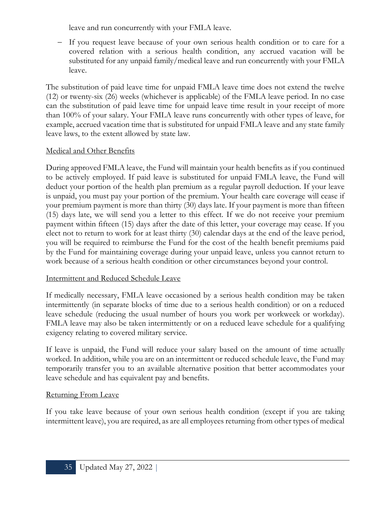leave and run concurrently with your FMLA leave.

− If you request leave because of your own serious health condition or to care for a covered relation with a serious health condition, any accrued vacation will be substituted for any unpaid family/medical leave and run concurrently with your FMLA leave.

The substitution of paid leave time for unpaid FMLA leave time does not extend the twelve (12) or twenty-six (26) weeks (whichever is applicable) of the FMLA leave period. In no case can the substitution of paid leave time for unpaid leave time result in your receipt of more than 100% of your salary. Your FMLA leave runs concurrently with other types of leave, for example, accrued vacation time that is substituted for unpaid FMLA leave and any state family leave laws, to the extent allowed by state law.

#### Medical and Other Benefits

During approved FMLA leave, the Fund will maintain your health benefits as if you continued to be actively employed. If paid leave is substituted for unpaid FMLA leave, the Fund will deduct your portion of the health plan premium as a regular payroll deduction. If your leave is unpaid, you must pay your portion of the premium. Your health care coverage will cease if your premium payment is more than thirty (30) days late. If your payment is more than fifteen (15) days late, we will send you a letter to this effect. If we do not receive your premium payment within fifteen (15) days after the date of this letter, your coverage may cease. If you elect not to return to work for at least thirty (30) calendar days at the end of the leave period, you will be required to reimburse the Fund for the cost of the health benefit premiums paid by the Fund for maintaining coverage during your unpaid leave, unless you cannot return to work because of a serious health condition or other circumstances beyond your control.

#### Intermittent and Reduced Schedule Leave

If medically necessary, FMLA leave occasioned by a serious health condition may be taken intermittently (in separate blocks of time due to a serious health condition) or on a reduced leave schedule (reducing the usual number of hours you work per workweek or workday). FMLA leave may also be taken intermittently or on a reduced leave schedule for a qualifying exigency relating to covered military service.

If leave is unpaid, the Fund will reduce your salary based on the amount of time actually worked. In addition, while you are on an intermittent or reduced schedule leave, the Fund may temporarily transfer you to an available alternative position that better accommodates your leave schedule and has equivalent pay and benefits.

#### Returning From Leave

If you take leave because of your own serious health condition (except if you are taking intermittent leave), you are required, as are all employees returning from other types of medical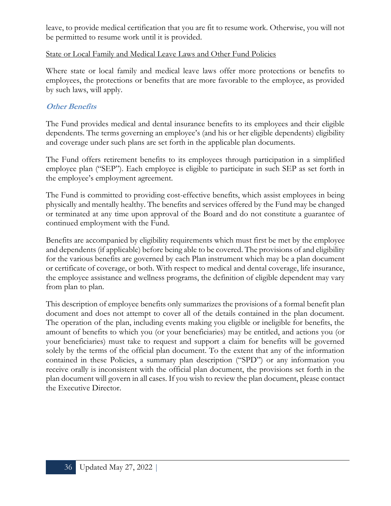leave, to provide medical certification that you are fit to resume work. Otherwise, you will not be permitted to resume work until it is provided.

#### State or Local Family and Medical Leave Laws and Other Fund Policies

Where state or local family and medical leave laws offer more protections or benefits to employees, the protections or benefits that are more favorable to the employee, as provided by such laws, will apply.

# **Other Benefits**

The Fund provides medical and dental insurance benefits to its employees and their eligible dependents. The terms governing an employee's (and his or her eligible dependents) eligibility and coverage under such plans are set forth in the applicable plan documents.

The Fund offers retirement benefits to its employees through participation in a simplified employee plan ("SEP"). Each employee is eligible to participate in such SEP as set forth in the employee's employment agreement.

The Fund is committed to providing cost-effective benefits, which assist employees in being physically and mentally healthy. The benefits and services offered by the Fund may be changed or terminated at any time upon approval of the Board and do not constitute a guarantee of continued employment with the Fund.

Benefits are accompanied by eligibility requirements which must first be met by the employee and dependents (if applicable) before being able to be covered. The provisions of and eligibility for the various benefits are governed by each Plan instrument which may be a plan document or certificate of coverage, or both. With respect to medical and dental coverage, life insurance, the employee assistance and wellness programs, the definition of eligible dependent may vary from plan to plan.

This description of employee benefits only summarizes the provisions of a formal benefit plan document and does not attempt to cover all of the details contained in the plan document. The operation of the plan, including events making you eligible or ineligible for benefits, the amount of benefits to which you (or your beneficiaries) may be entitled, and actions you (or your beneficiaries) must take to request and support a claim for benefits will be governed solely by the terms of the official plan document. To the extent that any of the information contained in these Policies, a summary plan description ("SPD") or any information you receive orally is inconsistent with the official plan document, the provisions set forth in the plan document will govern in all cases. If you wish to review the plan document, please contact the Executive Director.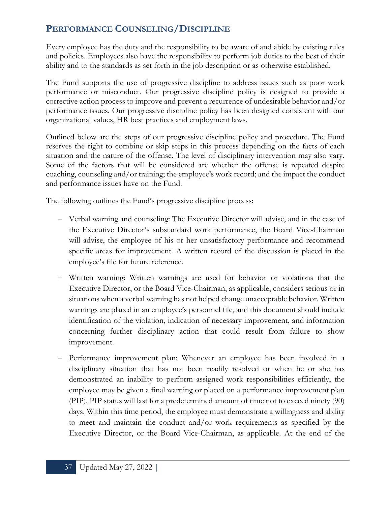# **PERFORMANCE COUNSELING/DISCIPLINE**

Every employee has the duty and the responsibility to be aware of and abide by existing rules and policies. Employees also have the responsibility to perform job duties to the best of their ability and to the standards as set forth in the job description or as otherwise established.

The Fund supports the use of progressive discipline to address issues such as poor work performance or misconduct. Our progressive discipline policy is designed to provide a corrective action process to improve and prevent a recurrence of undesirable behavior and/or performance issues. Our progressive discipline policy has been designed consistent with our organizational values, HR best practices and employment laws.

Outlined below are the steps of our progressive discipline policy and procedure. The Fund reserves the right to combine or skip steps in this process depending on the facts of each situation and the nature of the offense. The level of disciplinary intervention may also vary. Some of the factors that will be considered are whether the offense is repeated despite coaching, counseling and/or training; the employee's work record; and the impact the conduct and performance issues have on the Fund.

The following outlines the Fund's progressive discipline process:

- − Verbal warning and counseling: The Executive Director will advise, and in the case of the Executive Director's substandard work performance, the Board Vice-Chairman will advise, the employee of his or her unsatisfactory performance and recommend specific areas for improvement. A written record of the discussion is placed in the employee's file for future reference.
- − Written warning: Written warnings are used for behavior or violations that the Executive Director, or the Board Vice-Chairman, as applicable, considers serious or in situations when a verbal warning has not helped change unacceptable behavior. Written warnings are placed in an employee's personnel file, and this document should include identification of the violation, indication of necessary improvement, and information concerning further disciplinary action that could result from failure to show improvement.
- Performance improvement plan: Whenever an employee has been involved in a disciplinary situation that has not been readily resolved or when he or she has demonstrated an inability to perform assigned work responsibilities efficiently, the employee may be given a final warning or placed on a performance improvement plan (PIP). PIP status will last for a predetermined amount of time not to exceed ninety (90) days. Within this time period, the employee must demonstrate a willingness and ability to meet and maintain the conduct and/or work requirements as specified by the Executive Director, or the Board Vice-Chairman, as applicable. At the end of the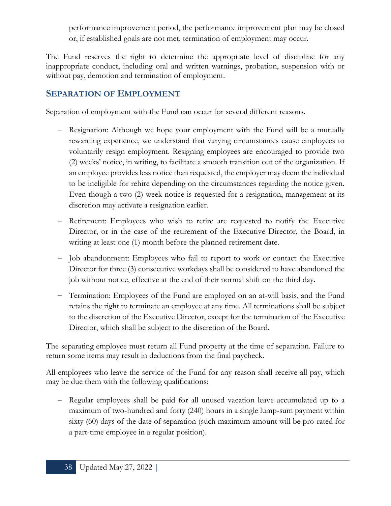performance improvement period, the performance improvement plan may be closed or, if established goals are not met, termination of employment may occur.

The Fund reserves the right to determine the appropriate level of discipline for any inappropriate conduct, including oral and written warnings, probation, suspension with or without pay, demotion and termination of employment.

# **SEPARATION OF EMPLOYMENT**

Separation of employment with the Fund can occur for several different reasons.

- − Resignation: Although we hope your employment with the Fund will be a mutually rewarding experience, we understand that varying circumstances cause employees to voluntarily resign employment. Resigning employees are encouraged to provide two (2) weeks' notice, in writing, to facilitate a smooth transition out of the organization. If an employee provides less notice than requested, the employer may deem the individual to be ineligible for rehire depending on the circumstances regarding the notice given. Even though a two (2) week notice is requested for a resignation, management at its discretion may activate a resignation earlier.
- − Retirement: Employees who wish to retire are requested to notify the Executive Director, or in the case of the retirement of the Executive Director, the Board, in writing at least one (1) month before the planned retirement date.
- − Job abandonment: Employees who fail to report to work or contact the Executive Director for three (3) consecutive workdays shall be considered to have abandoned the job without notice, effective at the end of their normal shift on the third day.
- − Termination: Employees of the Fund are employed on an at-will basis, and the Fund retains the right to terminate an employee at any time. All terminations shall be subject to the discretion of the Executive Director, except for the termination of the Executive Director, which shall be subject to the discretion of the Board.

The separating employee must return all Fund property at the time of separation. Failure to return some items may result in deductions from the final paycheck.

All employees who leave the service of the Fund for any reason shall receive all pay, which may be due them with the following qualifications:

− Regular employees shall be paid for all unused vacation leave accumulated up to a maximum of two-hundred and forty (240) hours in a single lump-sum payment within sixty (60) days of the date of separation (such maximum amount will be pro-rated for a part-time employee in a regular position).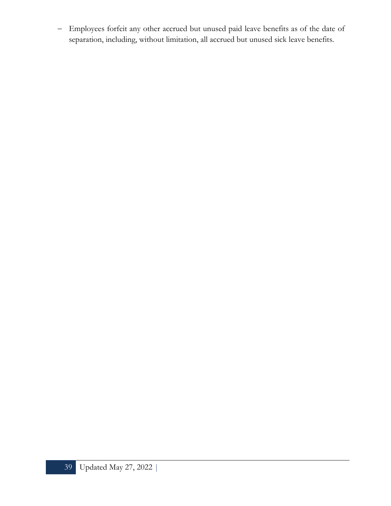− Employees forfeit any other accrued but unused paid leave benefits as of the date of separation, including, without limitation, all accrued but unused sick leave benefits.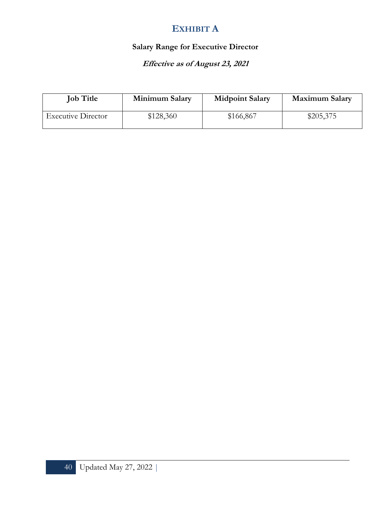# **EXHIBIT A**

# **Salary Range for Executive Director**

# **Effective as of August 23, 2021**

| <b>Job Title</b>          | Minimum Salary | <b>Midpoint Salary</b> | <b>Maximum Salary</b> |
|---------------------------|----------------|------------------------|-----------------------|
| <b>Executive Director</b> | \$128,360      | \$166,867              | \$205,375             |